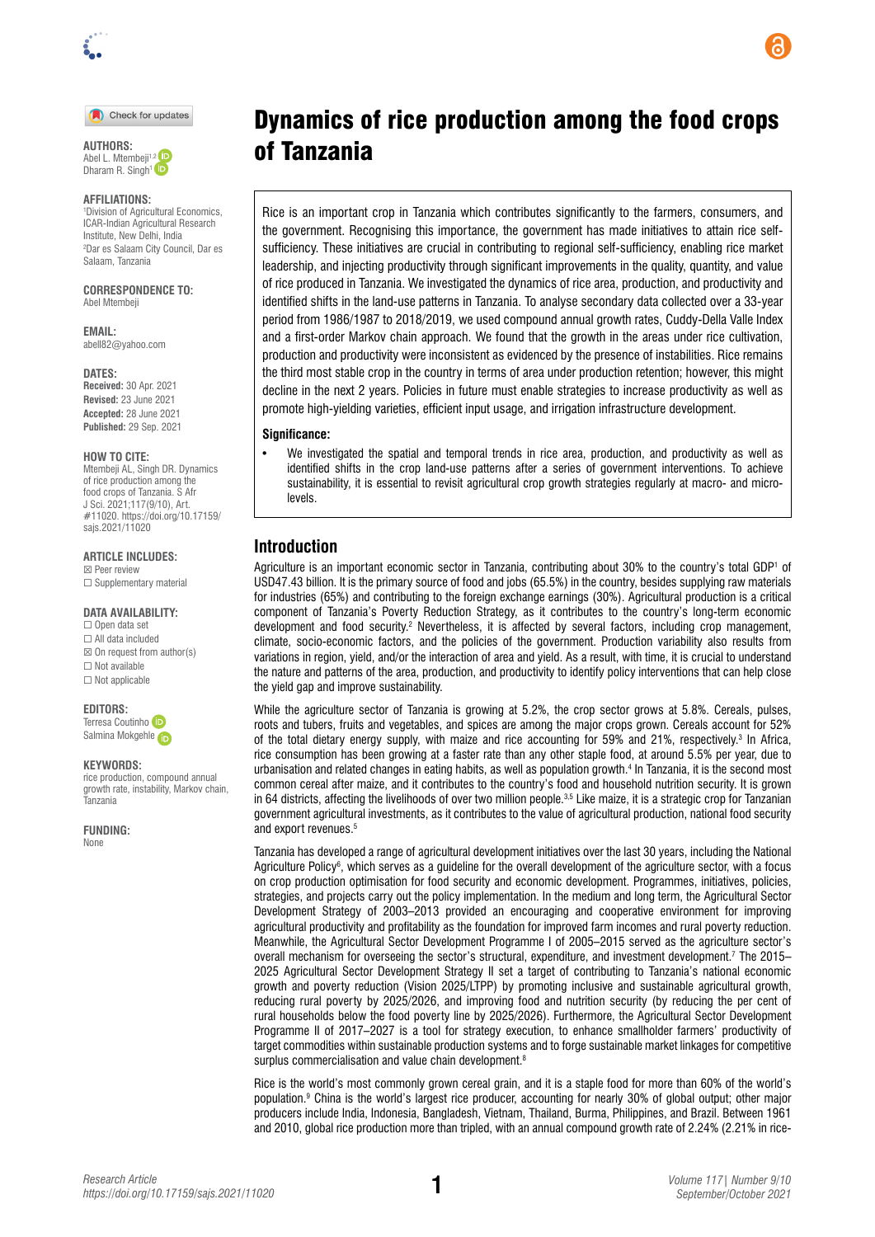

Check for updates



### **AFFILIATIONS:**

1 Division of Agricultural Economics, ICAR-Indian Agricultural Research Institute, New Delhi, India 2 Dar es Salaam City Council, Dar es Salaam, Tanzania

#### **CORRESPONDENCE TO:**  Abel Mtembeji

**EMAIL:**  [abell82@yahoo.com](mailto:abell82@yahoo.com)

**DATES: Received:** 30 Apr. 2021 **Revised:** 23 June 2021 **Accepted:** 28 June 2021 **Published:** 29 Sep. 2021

#### **HOW TO CITE:**

Mtembeji AL, Singh DR. Dynamics of rice production among the food crops of Tanzania. S Afr J Sci. 2021;117(9/10), Art. #11020. [https://doi.org/10.17159/](https://doi.org/10.17159/sajs.2021/11020) [sajs.2021/11020](https://doi.org/10.17159/sajs.2021/11020)

### **ARTICLE INCLUDES:**

☒ Peer review □ Supplementary material

### **DATA AVAILABILITY:**

☐ Open data set ☐ All data included  $\boxtimes$  On request from author(s) ☐ Not available ☐ Not applicable

#### **EDITORS:**

Terresa Coutinh[o](https://orcid.org/0000-0002-3227-4343)  Salmina Mokgehle

#### **KEYWORDS:**

rice production, compound annual growth rate, instability, Markov chain, Tanzania

**FUNDING:**  None

# Dynamics of rice production among the food crops AUTHORS: **Of Tanzania**

Rice is an important crop in Tanzania which contributes significantly to the farmers, consumers, and the government. Recognising this importance, the government has made initiatives to attain rice selfsufficiency. These initiatives are crucial in contributing to regional self-sufficiency, enabling rice market leadership, and injecting productivity through significant improvements in the quality, quantity, and value of rice produced in Tanzania. We investigated the dynamics of rice area, production, and productivity and identified shifts in the land-use patterns in Tanzania. To analyse secondary data collected over a 33-year period from 1986/1987 to 2018/2019, we used compound annual growth rates, Cuddy-Della Valle Index and a first-order Markov chain approach. We found that the growth in the areas under rice cultivation, production and productivity were inconsistent as evidenced by the presence of instabilities. Rice remains the third most stable crop in the country in terms of area under production retention; however, this might decline in the next 2 years. Policies in future must enable strategies to increase productivity as well as promote high-yielding varieties, efficient input usage, and irrigation infrastructure development.

### **Significance:**

• We investigated the spatial and temporal trends in rice area, production, and productivity as well as identified shifts in the crop land-use patterns after a series of government interventions. To achieve sustainability, it is essential to revisit agricultural crop growth strategies regularly at macro- and microlevels.

### **Introduction**

Agriculture is an important economic sector in Tanzania, contributing about 30% to the country's total GDP<sup>1</sup> of USD47.43 billion. It is the primary source of food and jobs (65.5%) in the country, besides supplying raw materials for industries (65%) and contributing to the foreign exchange earnings (30%). Agricultural production is a critical component of Tanzania's Poverty Reduction Strategy, as it contributes to the country's long-term economic development and food security.<sup>2</sup> Nevertheless, it is affected by several factors, including crop management, climate, socio-economic factors, and the policies of the government. Production variability also results from variations in region, yield, and/or the interaction of area and yield. As a result, with time, it is crucial to understand the nature and patterns of the area, production, and productivity to identify policy interventions that can help close the yield gap and improve sustainability.

While the agriculture sector of Tanzania is growing at 5.2%, the crop sector grows at 5.8%. Cereals, pulses, roots and tubers, fruits and vegetables, and spices are among the major crops grown. Cereals account for 52% of the total dietary energy supply, with maize and rice accounting for 59% and 21%, respectively.3 In Africa, rice consumption has been growing at a faster rate than any other staple food, at around 5.5% per year, due to urbanisation and related changes in eating habits, as well as population growth.4 In Tanzania, it is the second most common cereal after maize, and it contributes to the country's food and household nutrition security. It is grown in 64 districts, affecting the livelihoods of over two million people. $3.5$  Like maize, it is a strategic crop for Tanzanian government agricultural investments, as it contributes to the value of agricultural production, national food security and export revenues.<sup>5</sup>

Tanzania has developed a range of agricultural development initiatives over the last 30 years, including the National Agriculture Policy<sup>s</sup>, which serves as a guideline for the overall development of the agriculture sector, with a focus on crop production optimisation for food security and economic development. Programmes, initiatives, policies, strategies, and projects carry out the policy implementation. In the medium and long term, the Agricultural Sector Development Strategy of 2003–2013 provided an encouraging and cooperative environment for improving agricultural productivity and profitability as the foundation for improved farm incomes and rural poverty reduction. Meanwhile, the Agricultural Sector Development Programme I of 2005–2015 served as the agriculture sector's overall mechanism for overseeing the sector's structural, expenditure, and investment development.<sup>7</sup> The 2015– 2025 Agricultural Sector Development Strategy II set a target of contributing to Tanzania's national economic growth and poverty reduction (Vision 2025/LTPP) by promoting inclusive and sustainable agricultural growth, reducing rural poverty by 2025/2026, and improving food and nutrition security (by reducing the per cent of rural households below the food poverty line by 2025/2026). Furthermore, the Agricultural Sector Development Programme II of 2017–2027 is a tool for strategy execution, to enhance smallholder farmers' productivity of target commodities within sustainable production systems and to forge sustainable market linkages for competitive surplus commercialisation and value chain development.<sup>8</sup>

Rice is the world's most commonly grown cereal grain, and it is a staple food for more than 60% of the world's population.9 China is the world's largest rice producer, accounting for nearly 30% of global output; other major producers include India, Indonesia, Bangladesh, Vietnam, Thailand, Burma, Philippines, and Brazil. Between 1961 and 2010, global rice production more than tripled, with an annual compound growth rate of 2.24% (2.21% in rice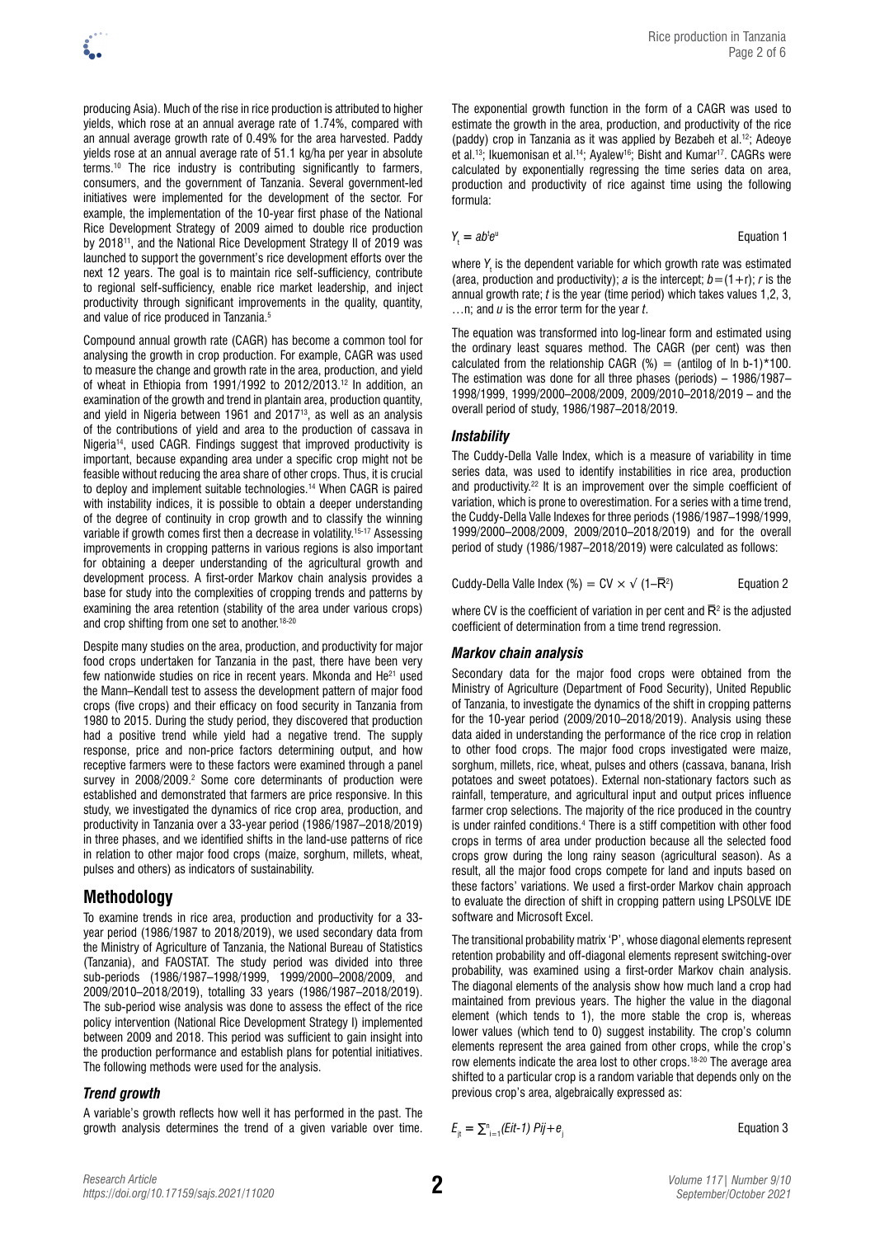producing Asia). Much of the rise in rice production is attributed to higher yields, which rose at an annual average rate of 1.74%, compared with an annual average growth rate of 0.49% for the area harvested. Paddy yields rose at an annual average rate of 51.1 kg/ha per year in absolute terms.10 The rice industry is contributing significantly to farmers, consumers, and the government of Tanzania. Several government-led initiatives were implemented for the development of the sector. For example, the implementation of the 10-year first phase of the National Rice Development Strategy of 2009 aimed to double rice production by 2018<sup>11</sup>, and the National Rice Development Strategy II of 2019 was launched to support the government's rice development efforts over the next 12 years. The goal is to maintain rice self-sufficiency, contribute

Compound annual growth rate (CAGR) has become a common tool for analysing the growth in crop production. For example, CAGR was used to measure the change and growth rate in the area, production, and yield of wheat in Ethiopia from 1991/1992 to 2012/2013.12 In addition, an examination of the growth and trend in plantain area, production quantity, and yield in Nigeria between 1961 and 201713, as well as an analysis of the contributions of yield and area to the production of cassava in Nigeria<sup>14</sup>, used CAGR. Findings suggest that improved productivity is important, because expanding area under a specific crop might not be feasible without reducing the area share of other crops. Thus, it is crucial to deploy and implement suitable technologies.14 When CAGR is paired with instability indices, it is possible to obtain a deeper understanding of the degree of continuity in crop growth and to classify the winning variable if growth comes first then a decrease in volatility.<sup>15-17</sup> Assessing improvements in cropping patterns in various regions is also important for obtaining a deeper understanding of the agricultural growth and development process. A first-order Markov chain analysis provides a base for study into the complexities of cropping trends and patterns by examining the area retention (stability of the area under various crops) and crop shifting from one set to another.<sup>18-20</sup>

to regional self-sufficiency, enable rice market leadership, and inject productivity through significant improvements in the quality, quantity,

and value of rice produced in Tanzania.5

Despite many studies on the area, production, and productivity for major food crops undertaken for Tanzania in the past, there have been very few nationwide studies on rice in recent years. Mkonda and He<sup>21</sup> used the Mann–Kendall test to assess the development pattern of major food crops (five crops) and their efficacy on food security in Tanzania from 1980 to 2015. During the study period, they discovered that production had a positive trend while yield had a negative trend. The supply response, price and non-price factors determining output, and how receptive farmers were to these factors were examined through a panel survey in 2008/2009.<sup>2</sup> Some core determinants of production were established and demonstrated that farmers are price responsive. In this study, we investigated the dynamics of rice crop area, production, and productivity in Tanzania over a 33-year period (1986/1987–2018/2019) in three phases, and we identified shifts in the land-use patterns of rice in relation to other major food crops (maize, sorghum, millets, wheat, pulses and others) as indicators of sustainability.

## **Methodology**

To examine trends in rice area, production and productivity for a 33 year period (1986/1987 to 2018/2019), we used secondary data from the Ministry of Agriculture of Tanzania, the National Bureau of Statistics (Tanzania), and FAOSTAT. The study period was divided into three sub-periods (1986/1987–1998/1999, 1999/2000–2008/2009, and 2009/2010–2018/2019), totalling 33 years (1986/1987–2018/2019). The sub-period wise analysis was done to assess the effect of the rice policy intervention (National Rice Development Strategy I) implemented between 2009 and 2018. This period was sufficient to gain insight into the production performance and establish plans for potential initiatives. The following methods were used for the analysis.

## *Trend growth*

Rice production in Tanzania

estimate the growth in the area, production, and productivity of the rice (paddy) crop in Tanzania as it was applied by Bezabeh et al.12; Adeoye et al.<sup>13</sup>; Ikuemonisan et al.<sup>14</sup>; Ayalew<sup>16</sup>; Bisht and Kumar<sup>17</sup>. CAGRs were calculated by exponentially regressing the time series data on area, production and productivity of rice against time using the following formula:

$$
Y_t = ab^t e^u
$$

**Equation 1** 

Page 2 of 6

where Y<sub>t</sub> is the dependent variable for which growth rate was estimated (area, production and productivity); *a* is the intercept;  $b = (1+r)$ ; *r* is the annual growth rate; *t* is the year (time period) which takes values 1,2, 3, …n; and *u* is the error term for the year *t*.

The equation was transformed into log-linear form and estimated using the ordinary least squares method. The CAGR (per cent) was then calculated from the relationship CAGR  $%$  = (antilog of ln b-1)\*100. The estimation was done for all three phases (periods) – 1986/1987– 1998/1999, 1999/2000–2008/2009, 2009/2010–2018/2019 – and the overall period of study, 1986/1987–2018/2019.

### *Instability*

The Cuddy-Della Valle Index, which is a measure of variability in time series data, was used to identify instabilities in rice area, production and productivity.22 It is an improvement over the simple coefficient of variation, which is prone to overestimation. For a series with a time trend, the Cuddy-Della Valle Indexes for three periods (1986/1987–1998/1999, 1999/2000–2008/2009, 2009/2010–2018/2019) and for the overall period of study (1986/1987–2018/2019) were calculated as follows:

Cuddy-Della Valle Index (%) = CV  $\times$   $\sqrt{(1-\overline{R}^2)}$ ) Equation 2

where CV is the coefficient of variation in per cent and  $\bar{R}^2$  is the adjusted coefficient of determination from a time trend regression.

### *Markov chain analysis*

Secondary data for the major food crops were obtained from the Ministry of Agriculture (Department of Food Security), United Republic of Tanzania, to investigate the dynamics of the shift in cropping patterns for the 10-year period (2009/2010–2018/2019). Analysis using these data aided in understanding the performance of the rice crop in relation to other food crops. The major food crops investigated were maize, sorghum, millets, rice, wheat, pulses and others (cassava, banana, Irish potatoes and sweet potatoes). External non-stationary factors such as rainfall, temperature, and agricultural input and output prices influence farmer crop selections. The majority of the rice produced in the country is under rainfed conditions.4 There is a stiff competition with other food crops in terms of area under production because all the selected food crops grow during the long rainy season (agricultural season). As a result, all the major food crops compete for land and inputs based on these factors' variations. We used a first-order Markov chain approach to evaluate the direction of shift in cropping pattern using LPSOLVE IDE software and Microsoft Excel.

The transitional probability matrix 'P', whose diagonal elements represent retention probability and off-diagonal elements represent switching-over probability, was examined using a first-order Markov chain analysis. The diagonal elements of the analysis show how much land a crop had maintained from previous years. The higher the value in the diagonal element (which tends to 1), the more stable the crop is, whereas lower values (which tend to 0) suggest instability. The crop's column elements represent the area gained from other crops, while the crop's row elements indicate the area lost to other crops.18-20 The average area shifted to a particular crop is a random variable that depends only on the previous crop's area, algebraically expressed as:

A variable's growth reflects how well it has performed in the past. The growth analysis determines the trend of a given variable over time.

 $E_{\text{it}} = \sum_{i=1}^{n} (Eit-1) \text{ Pij} + e_{\text{it}}$  Equation 3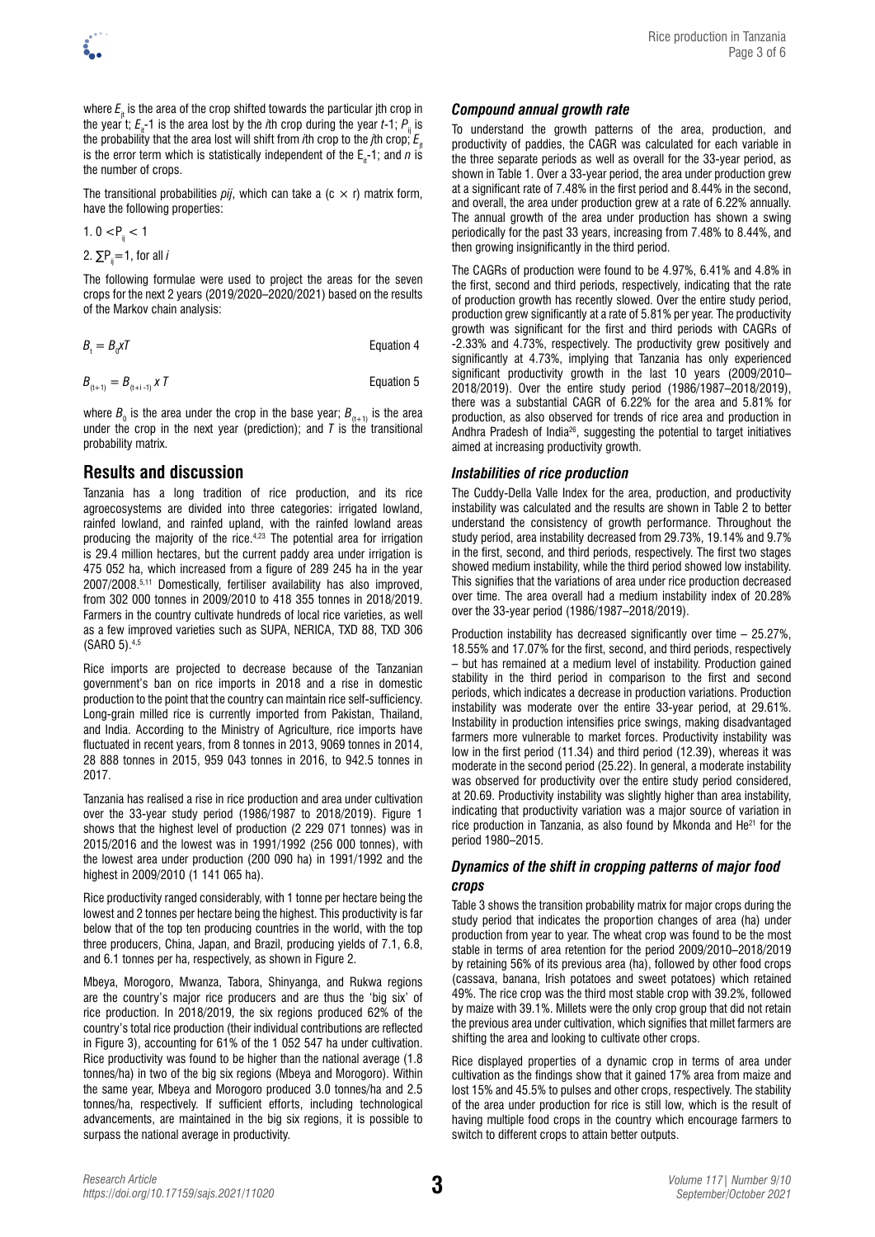where  $E_{\mu}$  is the area of the crop shifted towards the particular jth crop in the year t;  $E<sub>a</sub>$ -1 is the area lost by the *i*th crop during the year *t*-1; *P*<sub>ii</sub> is the probability that the area lost will shift from *i*th crop to the *j*th crop;  $E_{i}$ is the error term which is statistically independent of the  $E_{n-1}$ ; and *n* is the number of crops.

The transitional probabilities  $pi$ , which can take a (c  $\times$  r) matrix form, have the following properties:

$$
1.\ 0 < P_{ij} < 1
$$

2. 
$$
\Sigma P_{ij} = 1
$$
, for all *i*

The following formulae were used to project the areas for the seven crops for the next 2 years (2019/2020–2020/2021) based on the results of the Markov chain analysis:

$$
B_t = B_0 \mathsf{x} \mathsf{T} \qquad \qquad \text{Equation 4}
$$

$$
B_{(t+1)} = B_{(t+i-1)} \times T
$$
 Equation 5

where  $B_{_{0}}$  is the area under the crop in the base year;  $B_{_{(t+1)}}$  is the area under the crop in the next year (prediction); and  $\bar{T}$  is the transitional probability matrix.

# **Results and discussion**

Tanzania has a long tradition of rice production, and its rice agroecosystems are divided into three categories: irrigated lowland, rainfed lowland, and rainfed upland, with the rainfed lowland areas producing the majority of the rice.4,23 The potential area for irrigation is 29.4 million hectares, but the current paddy area under irrigation is 475 052 ha, which increased from a figure of 289 245 ha in the year 2007/2008.5,11 Domestically, fertiliser availability has also improved, from 302 000 tonnes in 2009/2010 to 418 355 tonnes in 2018/2019. Farmers in the country cultivate hundreds of local rice varieties, as well as a few improved varieties such as SUPA, NERICA, TXD 88, TXD 306 (SARO 5).4,5

Rice imports are projected to decrease because of the Tanzanian government's ban on rice imports in 2018 and a rise in domestic production to the point that the country can maintain rice self-sufficiency. Long-grain milled rice is currently imported from Pakistan, Thailand, and India. According to the Ministry of Agriculture, rice imports have fluctuated in recent years, from 8 tonnes in 2013, 9069 tonnes in 2014, 28 888 tonnes in 2015, 959 043 tonnes in 2016, to 942.5 tonnes in 2017.

Tanzania has realised a rise in rice production and area under cultivation over the 33-year study period (1986/1987 to 2018/2019). Figure 1 shows that the highest level of production (2 229 071 tonnes) was in 2015/2016 and the lowest was in 1991/1992 (256 000 tonnes), with the lowest area under production (200 090 ha) in 1991/1992 and the highest in 2009/2010 (1 141 065 ha).

Rice productivity ranged considerably, with 1 tonne per hectare being the lowest and 2 tonnes per hectare being the highest. This productivity is far below that of the top ten producing countries in the world, with the top three producers, China, Japan, and Brazil, producing yields of 7.1, 6.8, and 6.1 tonnes per ha, respectively, as shown in Figure 2.

Mbeya, Morogoro, Mwanza, Tabora, Shinyanga, and Rukwa regions are the country's major rice producers and are thus the 'big six' of rice production. In 2018/2019, the six regions produced 62% of the country's total rice production (their individual contributions are reflected in Figure 3), accounting for 61% of the 1 052 547 ha under cultivation. Rice productivity was found to be higher than the national average (1.8 tonnes/ha) in two of the big six regions (Mbeya and Morogoro). Within the same year, Mbeya and Morogoro produced 3.0 tonnes/ha and 2.5 tonnes/ha, respectively. If sufficient efforts, including technological advancements, are maintained in the big six regions, it is possible to surpass the national average in productivity.

# *Compound annual growth rate*

To understand the growth patterns of the area, production, and productivity of paddies, the CAGR was calculated for each variable in the three separate periods as well as overall for the 33-year period, as shown in Table 1. Over a 33-year period, the area under production grew at a significant rate of 7.48% in the first period and 8.44% in the second, and overall, the area under production grew at a rate of 6.22% annually. The annual growth of the area under production has shown a swing periodically for the past 33 years, increasing from 7.48% to 8.44%, and then growing insignificantly in the third period.

The CAGRs of production were found to be 4.97%, 6.41% and 4.8% in the first, second and third periods, respectively, indicating that the rate of production growth has recently slowed. Over the entire study period, production grew significantly at a rate of 5.81% per year. The productivity growth was significant for the first and third periods with CAGRs of -2.33% and 4.73%, respectively. The productivity grew positively and significantly at 4.73%, implying that Tanzania has only experienced significant productivity growth in the last 10 years (2009/2010– 2018/2019). Over the entire study period (1986/1987–2018/2019), there was a substantial CAGR of 6.22% for the area and 5.81% for production, as also observed for trends of rice area and production in Andhra Pradesh of India26, suggesting the potential to target initiatives aimed at increasing productivity growth.

### *Instabilities of rice production*

The Cuddy-Della Valle Index for the area, production, and productivity instability was calculated and the results are shown in Table 2 to better understand the consistency of growth performance. Throughout the study period, area instability decreased from 29.73%, 19.14% and 9.7% in the first, second, and third periods, respectively. The first two stages showed medium instability, while the third period showed low instability. This signifies that the variations of area under rice production decreased over time. The area overall had a medium instability index of 20.28% over the 33-year period (1986/1987–2018/2019).

Production instability has decreased significantly over time – 25.27%, 18.55% and 17.07% for the first, second, and third periods, respectively – but has remained at a medium level of instability. Production gained stability in the third period in comparison to the first and second periods, which indicates a decrease in production variations. Production instability was moderate over the entire 33-year period, at 29.61%. Instability in production intensifies price swings, making disadvantaged farmers more vulnerable to market forces. Productivity instability was low in the first period (11.34) and third period (12.39), whereas it was moderate in the second period (25.22). In general, a moderate instability was observed for productivity over the entire study period considered, at 20.69. Productivity instability was slightly higher than area instability, indicating that productivity variation was a major source of variation in rice production in Tanzania, as also found by Mkonda and He21 for the period 1980–2015.

### *Dynamics of the shift in cropping patterns of major food crops*

Table 3 shows the transition probability matrix for major crops during the study period that indicates the proportion changes of area (ha) under production from year to year. The wheat crop was found to be the most stable in terms of area retention for the period 2009/2010–2018/2019 by retaining 56% of its previous area (ha), followed by other food crops (cassava, banana, Irish potatoes and sweet potatoes) which retained 49%. The rice crop was the third most stable crop with 39.2%, followed by maize with 39.1%. Millets were the only crop group that did not retain the previous area under cultivation, which signifies that millet farmers are shifting the area and looking to cultivate other crops.

Rice displayed properties of a dynamic crop in terms of area under cultivation as the findings show that it gained 17% area from maize and lost 15% and 45.5% to pulses and other crops, respectively. The stability of the area under production for rice is still low, which is the result of having multiple food crops in the country which encourage farmers to switch to different crops to attain better outputs.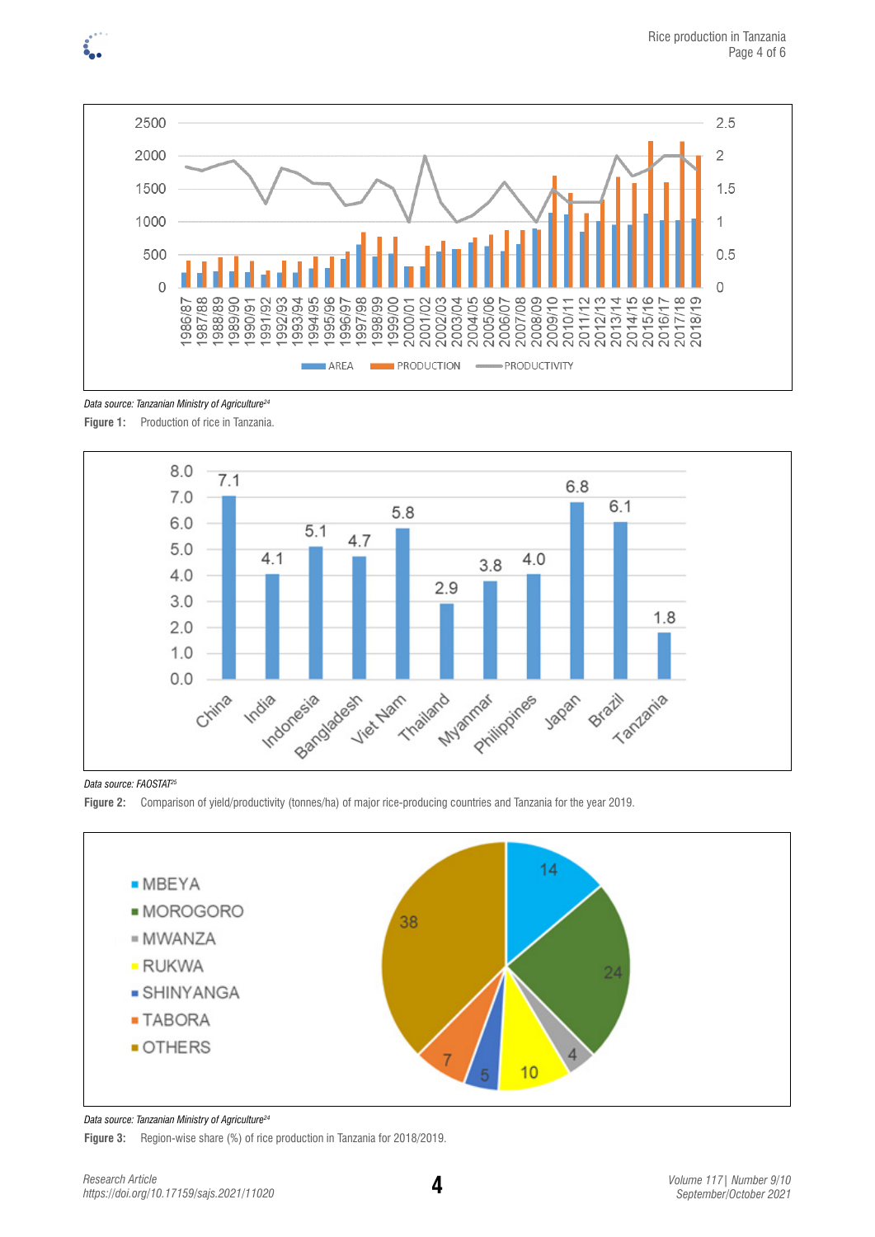



*Data source: Tanzanian Ministry of Agriculture24*

Figure 1: Production of rice in Tanzania.



*Data source: FAOSTAT25*





### *Data source: Tanzanian Ministry of Agriculture24*

**Figure 3:** Region-wise share (%) of rice production in Tanzania for 2018/2019.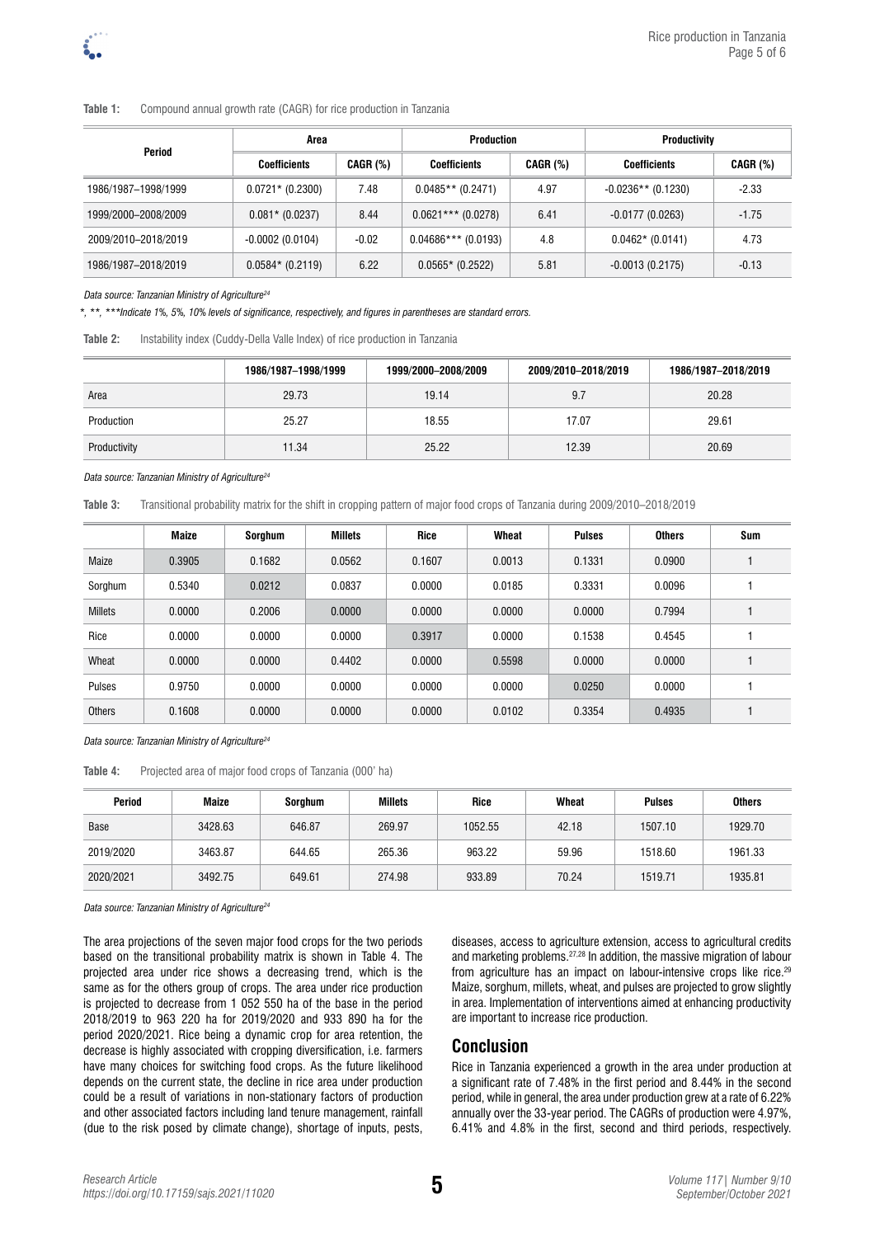### **Table 1:** Compound annual growth rate (CAGR) for rice production in Tanzania

| Period              | Area                |          | <b>Production</b>     |                 | <b>Productivity</b>  |                 |  |
|---------------------|---------------------|----------|-----------------------|-----------------|----------------------|-----------------|--|
|                     | <b>Coefficients</b> | CAGR (%) | <b>Coefficients</b>   | <b>CAGR (%)</b> | <b>Coefficients</b>  | <b>CAGR (%)</b> |  |
| 1986/1987-1998/1999 | $0.0721* (0.2300)$  | 7.48     | $0.0485**$ (0.2471)   | 4.97            | $-0.0236**$ (0.1230) | $-2.33$         |  |
| 1999/2000-2008/2009 | $0.081*$ (0.0237)   | 8.44     | $0.0621***$ (0.0278)  | 6.41            | $-0.0177(0.0263)$    | $-1.75$         |  |
| 2009/2010-2018/2019 | $-0.0002(0.0104)$   | $-0.02$  | $0.04686***$ (0.0193) | 4.8             | $0.0462*$ (0.0141)   | 4.73            |  |
| 1986/1987-2018/2019 | $0.0584*$ (0.2119)  | 6.22     | $0.0565*$ (0.2522)    | 5.81            | $-0.0013(0.2175)$    | $-0.13$         |  |

#### *Data source: Tanzanian Ministry of Agriculture24*

*\*, \*\*, \*\*\*Indicate 1%, 5%, 10% levels of significance, respectively, and figures in parentheses are standard errors.* 

| Table 2: |  | Instability index (Cuddy-Della Valle Index) of rice production in Tanzania |
|----------|--|----------------------------------------------------------------------------|
|----------|--|----------------------------------------------------------------------------|

|              | 1986/1987-1998/1999 | 1999/2000-2008/2009 | 2009/2010-2018/2019 | 1986/1987-2018/2019 |
|--------------|---------------------|---------------------|---------------------|---------------------|
| Area         | 29.73               | 19.14               | 9.7                 | 20.28               |
| Production   | 25.27               | 18.55               | 17.07               | 29.61               |
| Productivity | 11.34               | 25.22               | 12.39               | 20.69               |

#### *Data source: Tanzanian Ministry of Agriculture24*

**Table 3:** Transitional probability matrix for the shift in cropping pattern of major food crops of Tanzania during 2009/2010–2018/2019

|                | <b>Maize</b> | Sorghum | <b>Millets</b> | Rice   | Wheat  | <b>Pulses</b> | <b>Others</b> | Sum |
|----------------|--------------|---------|----------------|--------|--------|---------------|---------------|-----|
| Maize          | 0.3905       | 0.1682  | 0.0562         | 0.1607 | 0.0013 | 0.1331        | 0.0900        |     |
| Sorghum        | 0.5340       | 0.0212  | 0.0837         | 0.0000 | 0.0185 | 0.3331        | 0.0096        |     |
| <b>Millets</b> | 0.0000       | 0.2006  | 0.0000         | 0.0000 | 0.0000 | 0.0000        | 0.7994        |     |
| Rice           | 0.0000       | 0.0000  | 0.0000         | 0.3917 | 0.0000 | 0.1538        | 0.4545        |     |
| Wheat          | 0.0000       | 0.0000  | 0.4402         | 0.0000 | 0.5598 | 0.0000        | 0.0000        |     |
| Pulses         | 0.9750       | 0.0000  | 0.0000         | 0.0000 | 0.0000 | 0.0250        | 0.0000        |     |
| Others         | 0.1608       | 0.0000  | 0.0000         | 0.0000 | 0.0102 | 0.3354        | 0.4935        |     |

#### *Data source: Tanzanian Ministry of Agriculture24*

**Table 4:** Projected area of major food crops of Tanzania (000' ha)

| Period      | <b>Maize</b> | Sorghum | <b>Millets</b> | Rice    | Wheat | <b>Pulses</b> | <b>Others</b> |
|-------------|--------------|---------|----------------|---------|-------|---------------|---------------|
| <b>Base</b> | 3428.63      | 646.87  | 269.97         | 1052.55 | 42.18 | 1507.10       | 1929.70       |
| 2019/2020   | 3463.87      | 644.65  | 265.36         | 963.22  | 59.96 | 1518.60       | 1961.33       |
| 2020/2021   | 3492.75      | 649.61  | 274.98         | 933.89  | 70.24 | 1519.71       | 1935.81       |

*Data source: Tanzanian Ministry of Agriculture24*

The area projections of the seven major food crops for the two periods based on the transitional probability matrix is shown in Table 4. The projected area under rice shows a decreasing trend, which is the same as for the others group of crops. The area under rice production is projected to decrease from 1 052 550 ha of the base in the period 2018/2019 to 963 220 ha for 2019/2020 and 933 890 ha for the period 2020/2021. Rice being a dynamic crop for area retention, the decrease is highly associated with cropping diversification, i.e. farmers have many choices for switching food crops. As the future likelihood depends on the current state, the decline in rice area under production could be a result of variations in non-stationary factors of production and other associated factors including land tenure management, rainfall (due to the risk posed by climate change), shortage of inputs, pests, diseases, access to agriculture extension, access to agricultural credits and marketing problems.27,28 In addition, the massive migration of labour from agriculture has an impact on labour-intensive crops like rice.<sup>29</sup> Maize, sorghum, millets, wheat, and pulses are projected to grow slightly in area. Implementation of interventions aimed at enhancing productivity are important to increase rice production.

### **Conclusion**

Rice in Tanzania experienced a growth in the area under production at a significant rate of 7.48% in the first period and 8.44% in the second period, while in general, the area under production grew at a rate of 6.22% annually over the 33-year period. The CAGRs of production were 4.97%, 6.41% and 4.8% in the first, second and third periods, respectively.